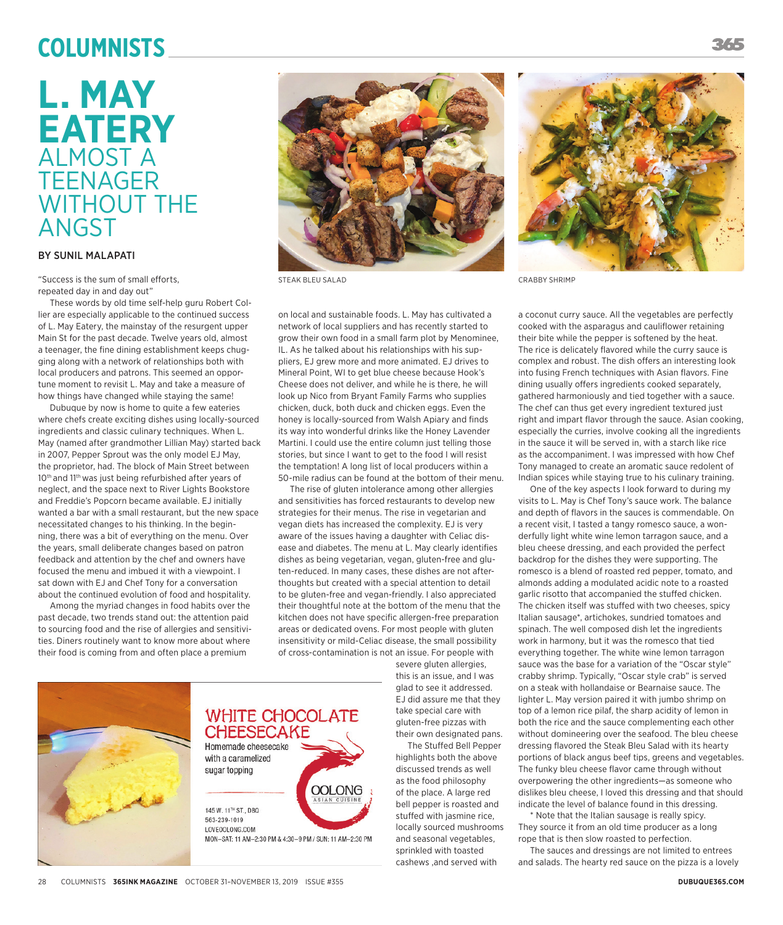# **Columnists**

# **L. MAY EATERY** ALMOST A **TEENAGER** WITHOUT THE ANGST

### BY SUNIL MALAPATI

"Success is the sum of small efforts, repeated day in and day out"

These words by old time self-help guru Robert Collier are especially applicable to the continued success of L. May Eatery, the mainstay of the resurgent upper Main St for the past decade. Twelve years old, almost a teenager, the fine dining establishment keeps chugging along with a network of relationships both with local producers and patrons. This seemed an opportune moment to revisit L. May and take a measure of how things have changed while staying the same!

Dubuque by now is home to quite a few eateries where chefs create exciting dishes using locally-sourced ingredients and classic culinary techniques. When L. May (named after grandmother Lillian May) started back in 2007, Pepper Sprout was the only model EJ May, the proprietor, had. The block of Main Street between 10<sup>th</sup> and 11<sup>th</sup> was just being refurbished after years of neglect, and the space next to River Lights Bookstore and Freddie's Popcorn became available. EJ initially wanted a bar with a small restaurant, but the new space necessitated changes to his thinking. In the beginning, there was a bit of everything on the menu. Over the years, small deliberate changes based on patron feedback and attention by the chef and owners have focused the menu and imbued it with a viewpoint. I sat down with EJ and Chef Tony for a conversation about the continued evolution of food and hospitality.

Among the myriad changes in food habits over the past decade, two trends stand out: the attention paid to sourcing food and the rise of allergies and sensitivities. Diners routinely want to know more about where their food is coming from and often place a premium



STEAK BLEU SALAD CRABBY SHRIMP

on local and sustainable foods. L. May has cultivated a network of local suppliers and has recently started to grow their own food in a small farm plot by Menominee, IL. As he talked about his relationships with his suppliers, EJ grew more and more animated. EJ drives to Mineral Point, WI to get blue cheese because Hook's Cheese does not deliver, and while he is there, he will look up Nico from Bryant Family Farms who supplies chicken, duck, both duck and chicken eggs. Even the honey is locally-sourced from Walsh Apiary and finds its way into wonderful drinks like the Honey Lavender Martini. I could use the entire column just telling those stories, but since I want to get to the food I will resist the temptation! A long list of local producers within a 50-mile radius can be found at the bottom of their menu.

The rise of gluten intolerance among other allergies and sensitivities has forced restaurants to develop new strategies for their menus. The rise in vegetarian and vegan diets has increased the complexity. EJ is very aware of the issues having a daughter with Celiac disease and diabetes. The menu at L. May clearly identifies dishes as being vegetarian, vegan, gluten-free and gluten-reduced. In many cases, these dishes are not afterthoughts but created with a special attention to detail to be gluten-free and vegan-friendly. I also appreciated their thoughtful note at the bottom of the menu that the kitchen does not have specific allergen-free preparation areas or dedicated ovens. For most people with gluten insensitivity or mild-Celiac disease, the small possibility of cross-contamination is not an issue. For people with

**OOLONG** 



severe gluten allergies, this is an issue, and I was glad to see it addressed. EJ did assure me that they take special care with gluten-free pizzas with their own designated pans. The Stuffed Bell Pepper

highlights both the above discussed trends as well as the food philosophy of the place. A large red bell pepper is roasted and stuffed with jasmine rice, locally sourced mushrooms and seasonal vegetables, sprinkled with toasted cashews ,and served with



a coconut curry sauce. All the vegetables are perfectly cooked with the asparagus and cauliflower retaining their bite while the pepper is softened by the heat. The rice is delicately flavored while the curry sauce is complex and robust. The dish offers an interesting look into fusing French techniques with Asian flavors. Fine dining usually offers ingredients cooked separately, gathered harmoniously and tied together with a sauce. The chef can thus get every ingredient textured just right and impart flavor through the sauce. Asian cooking, especially the curries, involve cooking all the ingredients in the sauce it will be served in, with a starch like rice as the accompaniment. I was impressed with how Chef Tony managed to create an aromatic sauce redolent of Indian spices while staying true to his culinary training.

One of the key aspects I look forward to during my visits to L. May is Chef Tony's sauce work. The balance and depth of flavors in the sauces is commendable. On a recent visit, I tasted a tangy romesco sauce, a wonderfully light white wine lemon tarragon sauce, and a bleu cheese dressing, and each provided the perfect backdrop for the dishes they were supporting. The romesco is a blend of roasted red pepper, tomato, and almonds adding a modulated acidic note to a roasted garlic risotto that accompanied the stuffed chicken. The chicken itself was stuffed with two cheeses, spicy Italian sausage\*, artichokes, sundried tomatoes and spinach. The well composed dish let the ingredients work in harmony, but it was the romesco that tied everything together. The white wine lemon tarragon sauce was the base for a variation of the "Oscar style" crabby shrimp. Typically, "Oscar style crab" is served on a steak with hollandaise or Bearnaise sauce. The lighter L. May version paired it with jumbo shrimp on top of a lemon rice pilaf, the sharp acidity of lemon in both the rice and the sauce complementing each other without domineering over the seafood. The bleu cheese dressing flavored the Steak Bleu Salad with its hearty portions of black angus beef tips, greens and vegetables. The funky bleu cheese flavor came through without overpowering the other ingredients—as someone who dislikes bleu cheese, I loved this dressing and that should indicate the level of balance found in this dressing.

\* Note that the Italian sausage is really spicy. They source it from an old time producer as a long rope that is then slow roasted to perfection.

The sauces and dressings are not limited to entrees and salads. The hearty red sauce on the pizza is a lovely